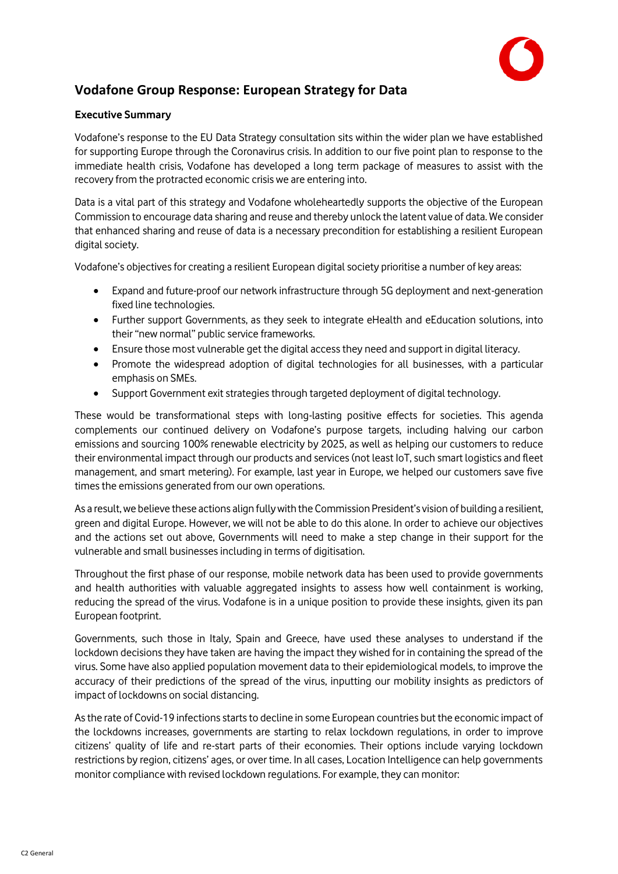

# **Vodafone Group Response: European Strategy for Data**

### **Executive Summary**

Vodafone's response to the EU Data Strategy consultation sits within the wider plan we have established for supporting Europe through the Coronavirus crisis. In addition to our five point plan to response to the immediate health crisis, Vodafone has developed a long term package of measures to assist with the recovery from the protracted economic crisis we are entering into.

Data is a vital part of this strategy and Vodafone wholeheartedly supports the objective of the European Commission to encourage data sharing and reuse and thereby unlock the latent value of data. We consider that enhanced sharing and reuse of data is a necessary precondition for establishing a resilient European digital society.

Vodafone's objectives for creating a resilient European digital society prioritise a number of key areas:

- Expand and future-proof our network infrastructure through 5G deployment and next-generation fixed line technologies.
- Further support Governments, as they seek to integrate eHealth and eEducation solutions, into their "new normal" public service frameworks.
- Ensure those most vulnerable get the digital access they need and support in digital literacy.
- Promote the widespread adoption of digital technologies for all businesses, with a particular emphasis on SMEs.
- Support Government exit strategies through targeted deployment of digital technology.

These would be transformational steps with long-lasting positive effects for societies. This agenda complements our continued delivery on Vodafone's purpose targets, including halving our carbon emissions and sourcing 100% renewable electricity by 2025, as well as helping our customers to reduce their environmental impact through our products and services (not least IoT, such smart logistics and fleet management, and smart metering). For example, last year in Europe, we helped our customers save five times the emissions generated from our own operations.

As a result, we believe these actions align fully with the Commission President's vision of building a resilient, green and digital Europe. However, we will not be able to do this alone. In order to achieve our objectives and the actions set out above, Governments will need to make a step change in their support for the vulnerable and small businesses including in terms of digitisation.

Throughout the first phase of our response, mobile network data has been used to provide governments and health authorities with valuable aggregated insights to assess how well containment is working, reducing the spread of the virus. Vodafone is in a unique position to provide these insights, given its pan European footprint.

Governments, such those in Italy, Spain and Greece, have used these analyses to understand if the lockdown decisions they have taken are having the impact they wished for in containing the spread of the virus. Some have also applied population movement data to their epidemiological models, to improve the accuracy of their predictions of the spread of the virus, inputting our mobility insights as predictors of impact of lockdowns on social distancing.

As the rate of Covid-19 infections starts to decline in some European countries but the economic impact of the lockdowns increases, governments are starting to relax lockdown regulations, in order to improve citizens' quality of life and re-start parts of their economies. Their options include varying lockdown restrictions by region, citizens' ages, or over time. In all cases, Location Intelligence can help governments monitor compliance with revised lockdown regulations. For example, they can monitor: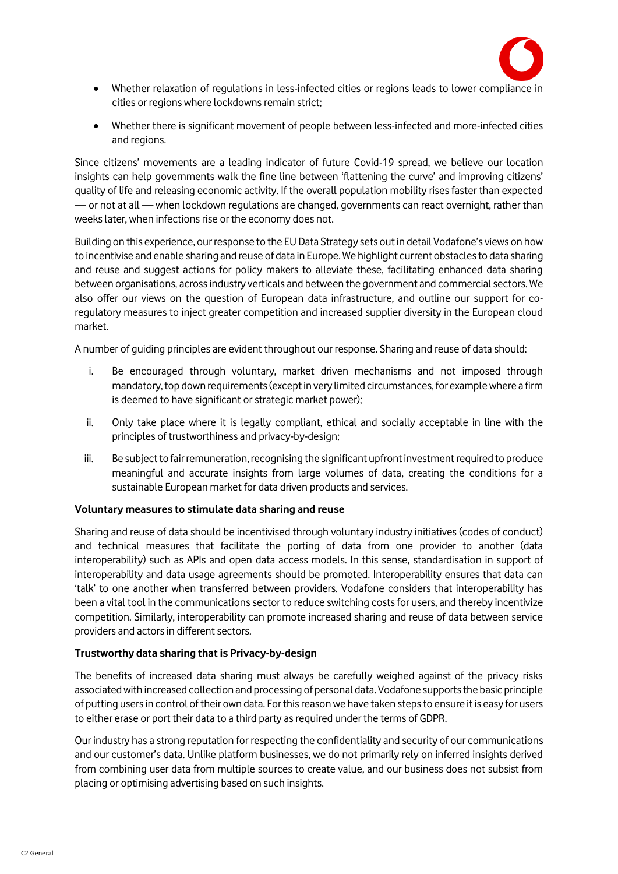

- Whether relaxation of regulations in less-infected cities or regions leads to lower compliance in cities or regions where lockdowns remain strict;
- Whether there is significant movement of people between less-infected and more-infected cities and regions.

Since citizens' movements are a leading indicator of future Covid-19 spread, we believe our location insights can help governments walk the fine line between 'flattening the curve' and improving citizens' quality of life and releasing economic activity. If the overall population mobility rises faster than expected — or not at all — when lockdown regulations are changed, governments can react overnight, rather than weeks later, when infections rise or the economy does not.

Building on this experience, our response to the EU Data Strategy sets out in detail Vodafone's views on how to incentivise and enable sharing and reuse of data in Europe. We highlight current obstacles to data sharing and reuse and suggest actions for policy makers to alleviate these, facilitating enhanced data sharing between organisations, across industry verticals and between the government and commercial sectors. We also offer our views on the question of European data infrastructure, and outline our support for coregulatory measures to inject greater competition and increased supplier diversity in the European cloud market.

A number of guiding principles are evident throughout our response. Sharing and reuse of data should:

- i. Be encouraged through voluntary, market driven mechanisms and not imposed through mandatory, top down requirements (except in very limited circumstances, for example where a firm is deemed to have significant or strategic market power);
- ii. Only take place where it is legally compliant, ethical and socially acceptable in line with the principles of trustworthiness and privacy-by-design;
- iii. Be subject to fair remuneration, recognising the significant upfront investment required to produce meaningful and accurate insights from large volumes of data, creating the conditions for a sustainable European market for data driven products and services.

### **Voluntary measures to stimulate data sharing and reuse**

Sharing and reuse of data should be incentivised through voluntary industry initiatives (codes of conduct) and technical measures that facilitate the porting of data from one provider to another (data interoperability) such as APIs and open data access models. In this sense, standardisation in support of interoperability and data usage agreements should be promoted. Interoperability ensures that data can 'talk' to one another when transferred between providers. Vodafone considers that interoperability has been a vital tool in the communications sector to reduce switching costs for users, and thereby incentivize competition. Similarly, interoperability can promote increased sharing and reuse of data between service providers and actors in different sectors.

### **Trustworthy data sharing that is Privacy-by-design**

The benefits of increased data sharing must always be carefully weighed against of the privacy risks associated with increased collection and processing of personal data. Vodafone supports the basic principle of putting users in control of their own data. For this reason we have taken steps to ensure it is easy for users to either erase or port their data to a third party as required under the terms of GDPR.

Our industry has a strong reputation for respecting the confidentiality and security of our communications and our customer's data. Unlike platform businesses, we do not primarily rely on inferred insights derived from combining user data from multiple sources to create value, and our business does not subsist from placing or optimising advertising based on such insights.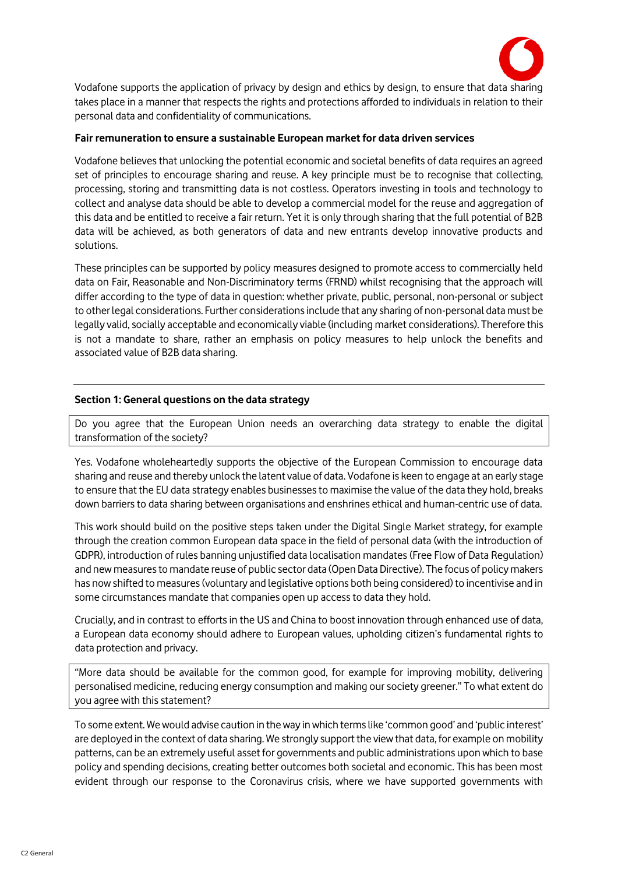

Vodafone supports the application of privacy by design and ethics by design, to ensure that data sharing takes place in a manner that respects the rights and protections afforded to individuals in relation to their personal data and confidentiality of communications.

### **Fair remuneration to ensure a sustainable European market for data driven services**

Vodafone believes that unlocking the potential economic and societal benefits of data requires an agreed set of principles to encourage sharing and reuse. A key principle must be to recognise that collecting, processing, storing and transmitting data is not costless. Operators investing in tools and technology to collect and analyse data should be able to develop a commercial model for the reuse and aggregation of this data and be entitled to receive a fair return. Yet it is only through sharing that the full potential of B2B data will be achieved, as both generators of data and new entrants develop innovative products and solutions.

These principles can be supported by policy measures designed to promote access to commercially held data on Fair, Reasonable and Non-Discriminatory terms (FRND) whilst recognising that the approach will differ according to the type of data in question: whether private, public, personal, non-personal or subject to other legal considerations. Further considerations include that any sharing of non-personal data must be legally valid, socially acceptable and economically viable (including market considerations). Therefore this is not a mandate to share, rather an emphasis on policy measures to help unlock the benefits and associated value of B2B data sharing.

#### **Section 1: General questions on the data strategy**

Do you agree that the European Union needs an overarching data strategy to enable the digital transformation of the society?

Yes. Vodafone wholeheartedly supports the objective of the European Commission to encourage data sharing and reuse and thereby unlock the latent value of data. Vodafone is keen to engage at an early stage to ensure that the EU data strategy enables businesses to maximise the value of the data they hold, breaks down barriers to data sharing between organisations and enshrines ethical and human-centric use of data.

This work should build on the positive steps taken under the Digital Single Market strategy, for example through the creation common European data space in the field of personal data (with the introduction of GDPR), introduction of rules banning unjustified data localisation mandates (Free Flow of Data Regulation) and new measures to mandate reuse of public sector data (Open Data Directive). The focus of policy makers has now shifted to measures (voluntary and legislative options both being considered) to incentivise and in some circumstances mandate that companies open up access to data they hold.

Crucially, and in contrast to efforts in the US and China to boost innovation through enhanced use of data, a European data economy should adhere to European values, upholding citizen's fundamental rights to data protection and privacy.

"More data should be available for the common good, for example for improving mobility, delivering personalised medicine, reducing energy consumption and making our society greener." To what extent do you agree with this statement?

To some extent. We would advise caution in the way in which terms like 'common good' and 'public interest' are deployed in the context of data sharing. We strongly support the view that data, for example on mobility patterns, can be an extremely useful asset for governments and public administrations upon which to base policy and spending decisions, creating better outcomes both societal and economic. This has been most evident through our response to the Coronavirus crisis, where we have supported governments with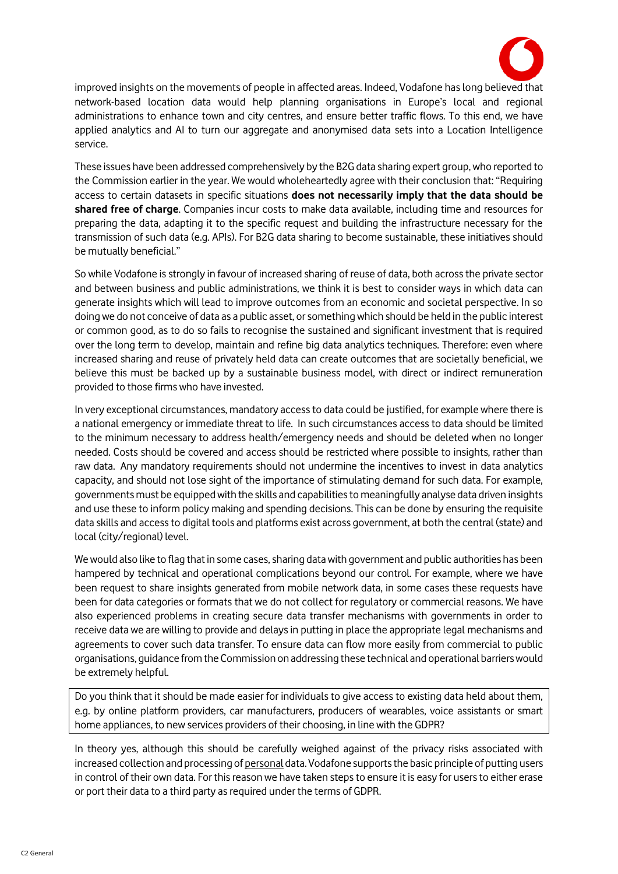

improved insights on the movements of people in affected areas. Indeed, Vodafone has long believed that network-based location data would help planning organisations in Europe's local and regional administrations to enhance town and city centres, and ensure better traffic flows. To this end, we have applied analytics and AI to turn our aggregate and anonymised data sets into a Location Intelligence service.

These issues have been addressed comprehensively by the B2G data sharing expert group, who reported to the Commission earlier in the year. We would wholeheartedly agree with their conclusion that: "Requiring access to certain datasets in specific situations **does not necessarily imply that the data should be shared free of charge**. Companies incur costs to make data available, including time and resources for preparing the data, adapting it to the specific request and building the infrastructure necessary for the transmission of such data (e.g. APIs). For B2G data sharing to become sustainable, these initiatives should be mutually beneficial."

So while Vodafone is strongly in favour of increased sharing of reuse of data, both across the private sector and between business and public administrations, we think it is best to consider ways in which data can generate insights which will lead to improve outcomes from an economic and societal perspective. In so doing we do not conceive of data as a public asset, or something which should be held in the public interest or common good, as to do so fails to recognise the sustained and significant investment that is required over the long term to develop, maintain and refine big data analytics techniques. Therefore: even where increased sharing and reuse of privately held data can create outcomes that are societally beneficial, we believe this must be backed up by a sustainable business model, with direct or indirect remuneration provided to those firms who have invested.

In very exceptional circumstances, mandatory access to data could be justified, for example where there is a national emergency or immediate threat to life. In such circumstances access to data should be limited to the minimum necessary to address health/emergency needs and should be deleted when no longer needed. Costs should be covered and access should be restricted where possible to insights, rather than raw data. Any mandatory requirements should not undermine the incentives to invest in data analytics capacity, and should not lose sight of the importance of stimulating demand for such data. For example, governments must be equipped with the skills and capabilities to meaningfully analyse data driven insights and use these to inform policy making and spending decisions. This can be done by ensuring the requisite data skills and access to digital tools and platforms exist across government, at both the central (state) and local (city/regional) level.

We would also like to flag that in some cases, sharing data with government and public authorities has been hampered by technical and operational complications beyond our control. For example, where we have been request to share insights generated from mobile network data, in some cases these requests have been for data categories or formats that we do not collect for regulatory or commercial reasons. We have also experienced problems in creating secure data transfer mechanisms with governments in order to receive data we are willing to provide and delays in putting in place the appropriate legal mechanisms and agreements to cover such data transfer. To ensure data can flow more easily from commercial to public organisations, guidance from the Commission on addressing these technical and operational barriers would be extremely helpful.

Do you think that it should be made easier for individuals to give access to existing data held about them, e.g. by online platform providers, car manufacturers, producers of wearables, voice assistants or smart home appliances, to new services providers of their choosing, in line with the GDPR?

In theory yes, although this should be carefully weighed against of the privacy risks associated with increased collection and processing of personal data. Vodafone supports the basic principle of putting users in control of their own data. For this reason we have taken steps to ensure it is easy for users to either erase or port their data to a third party as required under the terms of GDPR.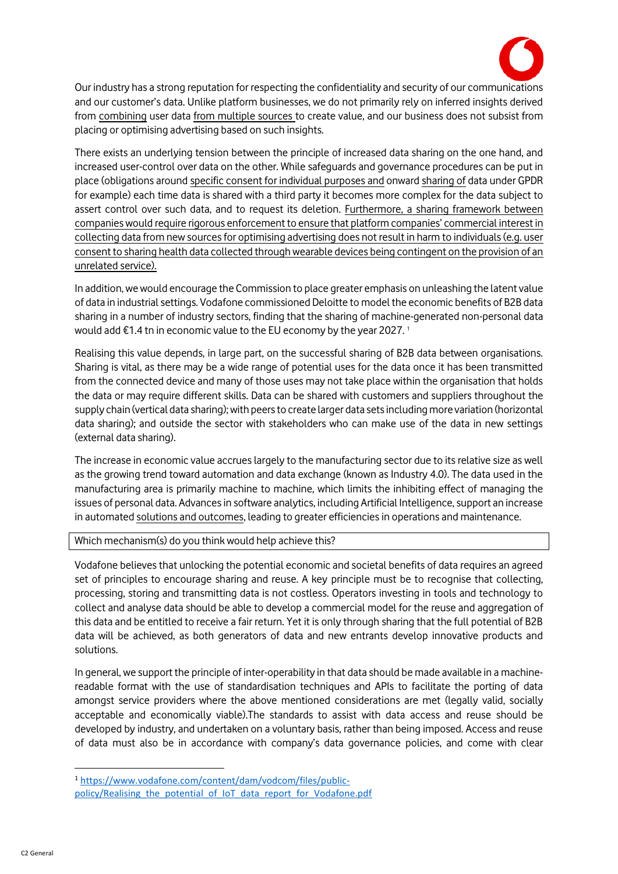

Our industry has a strong reputation for respecting the confidentiality and security of our communications and our customer's data. Unlike platform businesses, we do not primarily rely on inferred insights derived from combining user data from multiple sources to create value, and our business does not subsist from placing or optimising advertising based on such insights.

There exists an underlying tension between the principle of increased data sharing on the one hand, and increased user-control over data on the other. While safeguards and governance procedures can be put in place (obligations around specific consent for individual purposes and onward sharing of data under GPDR for example) each time data is shared with a third party it becomes more complex for the data subject to assert control over such data, and to request its deletion. Furthermore, a sharing framework between companies would require rigorous enforcement to ensure that platform companies' commercial interest in collecting data from new sources for optimising advertising does not result in harm to individuals (e.g. user consent to sharing health data collected through wearable devices being contingent on the provision of an unrelated service).

In addition, we would encourage the Commission to place greater emphasis on unleashing the latent value of data in industrial settings. Vodafone commissioned Deloitte to model the economic benefits of B2B data sharing in a number of industry sectors, finding that the sharing of machine-generated non-personal data would add €1.4 tn in economic value to the EU economy by the year 2027.<sup>1</sup>

Realising this value depends, in large part, on the successful sharing of B2B data between organisations. Sharing is vital, as there may be a wide range of potential uses for the data once it has been transmitted from the connected device and many of those uses may not take place within the organisation that holds the data or may require different skills. Data can be shared with customers and suppliers throughout the supply chain (vertical data sharing); with peers to create larger data sets including more variation (horizontal data sharing); and outside the sector with stakeholders who can make use of the data in new settings (external data sharing).

The increase in economic value accrues largely to the manufacturing sector due to its relative size as well as the growing trend toward automation and data exchange (known as Industry 4.0). The data used in the manufacturing area is primarily machine to machine, which limits the inhibiting effect of managing the issues of personal data. Advances in software analytics, including Artificial Intelligence, support an increase in automated solutions and outcomes, leading to greater efficiencies in operations and maintenance.

### Which mechanism(s) do you think would help achieve this?

Vodafone believes that unlocking the potential economic and societal benefits of data requires an agreed set of principles to encourage sharing and reuse. A key principle must be to recognise that collecting, processing, storing and transmitting data is not costless. Operators investing in tools and technology to collect and analyse data should be able to develop a commercial model for the reuse and aggregation of this data and be entitled to receive a fair return. Yet it is only through sharing that the full potential of B2B data will be achieved, as both generators of data and new entrants develop innovative products and solutions.

In general, we support the principle of inter-operability in that data should be made available in a machinereadable format with the use of standardisation techniques and APIs to facilitate the porting of data amongst service providers where the above mentioned considerations are met (legally valid, socially acceptable and economically viable).The standards to assist with data access and reuse should be developed by industry, and undertaken on a voluntary basis, rather than being imposed. Access and reuse of data must also be in accordance with company's data governance policies, and come with clear

1

<sup>1</sup> [https://www.vodafone.com/content/dam/vodcom/files/public](https://www.vodafone.com/content/dam/vodcom/files/public-policy/Realising_the_potential_of_IoT_data_report_for_Vodafone.pdf)policy/Realising the potential of IoT data report for Vodafone.pdf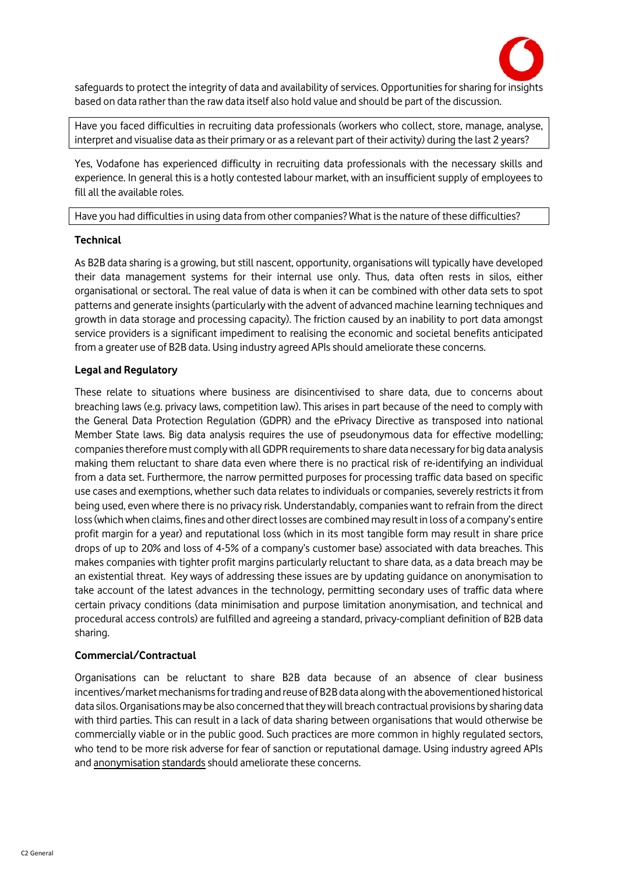

safeguards to protect the integrity of data and availability of services. Opportunities for sharing for insights based on data rather than the raw data itself also hold value and should be part of the discussion.

Have you faced difficulties in recruiting data professionals (workers who collect, store, manage, analyse, interpret and visualise data as their primary or as a relevant part of their activity) during the last 2 years?

Yes, Vodafone has experienced difficulty in recruiting data professionals with the necessary skills and experience. In general this is a hotly contested labour market, with an insufficient supply of employees to fill all the available roles.

Have you had difficulties in using data from other companies? What is the nature of these difficulties?

### **Technical**

As B2B data sharing is a growing, but still nascent, opportunity, organisations will typically have developed their data management systems for their internal use only. Thus, data often rests in silos, either organisational or sectoral. The real value of data is when it can be combined with other data sets to spot patterns and generate insights (particularly with the advent of advanced machine learning techniques and growth in data storage and processing capacity). The friction caused by an inability to port data amongst service providers is a significant impediment to realising the economic and societal benefits anticipated from a greater use of B2B data. Using industry agreed APIs should ameliorate these concerns.

## **Legal and Regulatory**

These relate to situations where business are disincentivised to share data, due to concerns about breaching laws (e.g. privacy laws, competition law). This arises in part because of the need to comply with the General Data Protection Regulation (GDPR) and the ePrivacy Directive as transposed into national Member State laws. Big data analysis requires the use of pseudonymous data for effective modelling; companies therefore must comply with all GDPR requirementsto share data necessary for big data analysis making them reluctant to share data even where there is no practical risk of re-identifying an individual from a data set. Furthermore, the narrow permitted purposes for processing traffic data based on specific use cases and exemptions, whether such data relates to individuals or companies, severely restricts it from being used, even where there is no privacy risk. Understandably, companies want to refrain from the direct loss (which when claims, fines and other direct losses are combined may result in loss of a company's entire profit margin for a year) and reputational loss (which in its most tangible form may result in share price drops of up to 20% and loss of 4-5% of a company's customer base) associated with data breaches. This makes companies with tighter profit margins particularly reluctant to share data, as a data breach may be an existential threat. Key ways of addressing these issues are by updating guidance on anonymisation to take account of the latest advances in the technology, permitting secondary uses of traffic data where certain privacy conditions (data minimisation and purpose limitation anonymisation, and technical and procedural access controls) are fulfilled and agreeing a standard, privacy-compliant definition of B2B data sharing.

## **Commercial/Contractual**

Organisations can be reluctant to share B2B data because of an absence of clear business incentives/market mechanisms for trading and reuse of B2B data along with the abovementioned historical data silos. Organisations may be also concerned that they will breach contractual provisions by sharing data with third parties. This can result in a lack of data sharing between organisations that would otherwise be commercially viable or in the public good. Such practices are more common in highly regulated sectors, who tend to be more risk adverse for fear of sanction or reputational damage. Using industry agreed APIs and anonymisation standards should ameliorate these concerns.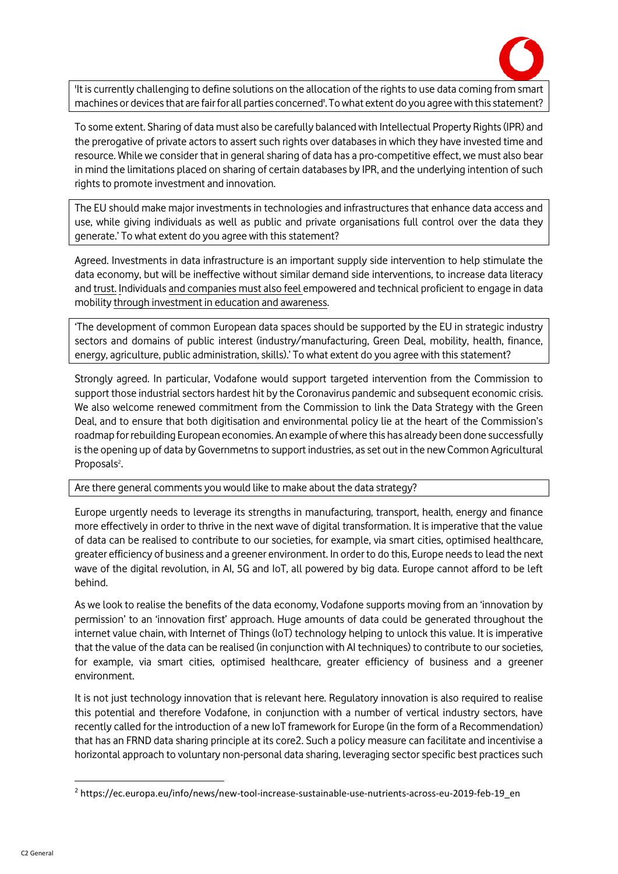

'It is currently challenging to define solutions on the allocation of the rights to use data coming from smart machines or devices that are fair for all parties concerned'. To what extent do you agree with this statement?

To some extent. Sharing of data must also be carefully balanced with Intellectual Property Rights (IPR) and the prerogative of private actors to assert such rights over databases in which they have invested time and resource. While we consider that in general sharing of data has a pro-competitive effect, we must also bear in mind the limitations placed on sharing of certain databases by IPR, and the underlying intention of such rights to promote investment and innovation.

The EU should make major investments in technologies and infrastructures that enhance data access and use, while giving individuals as well as public and private organisations full control over the data they generate.' To what extent do you agree with this statement?

Agreed. Investments in data infrastructure is an important supply side intervention to help stimulate the data economy, but will be ineffective without similar demand side interventions, to increase data literacy and trust. Individuals and companies must also feel empowered and technical proficient to engage in data mobility through investment in education and awareness.

'The development of common European data spaces should be supported by the EU in strategic industry sectors and domains of public interest (industry/manufacturing, Green Deal, mobility, health, finance, energy, agriculture, public administration, skills).' To what extent do you agree with this statement?

Strongly agreed. In particular, Vodafone would support targeted intervention from the Commission to support those industrial sectors hardest hit by the Coronavirus pandemic and subsequent economic crisis. We also welcome renewed commitment from the Commission to link the Data Strategy with the Green Deal, and to ensure that both digitisation and environmental policy lie at the heart of the Commission's roadmap for rebuilding European economies. An example of where this has already been done successfully is the opening up of data by Governmetns to support industries, as set out in the new Common Agricultural Proposals<sup>2</sup>. .

### Are there general comments you would like to make about the data strategy?

Europe urgently needs to leverage its strengths in manufacturing, transport, health, energy and finance more effectively in order to thrive in the next wave of digital transformation. It is imperative that the value of data can be realised to contribute to our societies, for example, via smart cities, optimised healthcare, greater efficiency of business and a greener environment. In order to do this, Europe needs to lead the next wave of the digital revolution, in AI, 5G and IoT, all powered by big data. Europe cannot afford to be left behind.

As we look to realise the benefits of the data economy, Vodafone supports moving from an 'innovation by permission' to an 'innovation first' approach. Huge amounts of data could be generated throughout the internet value chain, with Internet of Things (IoT) technology helping to unlock this value. It is imperative that the value of the data can be realised (in conjunction with AI techniques) to contribute to our societies, for example, via smart cities, optimised healthcare, greater efficiency of business and a greener environment.

It is not just technology innovation that is relevant here. Regulatory innovation is also required to realise this potential and therefore Vodafone, in conjunction with a number of vertical industry sectors, have recently called for the introduction of a new IoT framework for Europe (in the form of a Recommendation) that has an FRND data sharing principle at its core2. Such a policy measure can facilitate and incentivise a horizontal approach to voluntary non-personal data sharing, leveraging sector specific best practices such

**.** 

<sup>2</sup> https://ec.europa.eu/info/news/new-tool-increase-sustainable-use-nutrients-across-eu-2019-feb-19\_en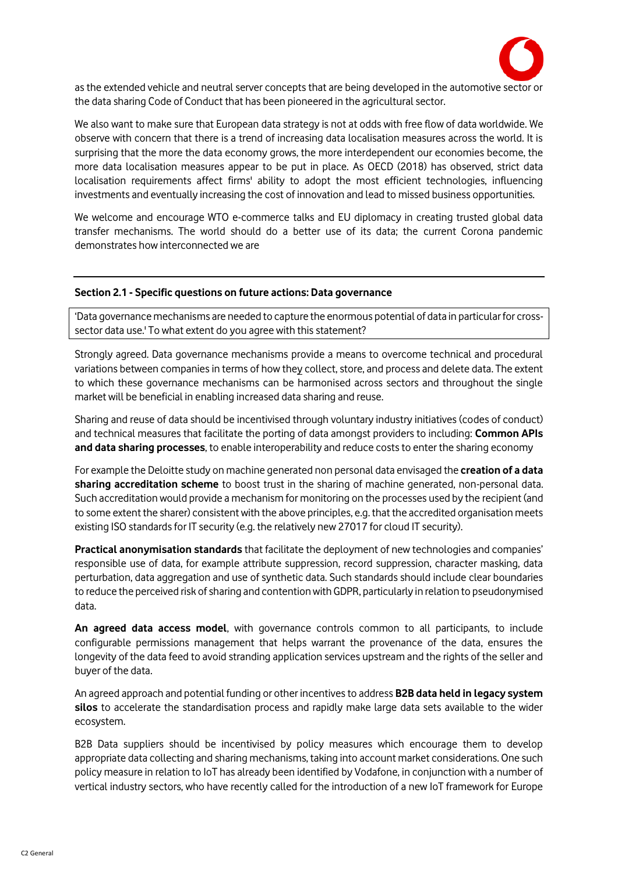

as the extended vehicle and neutral server concepts that are being developed in the automotive sector or the data sharing Code of Conduct that has been pioneered in the agricultural sector.

We also want to make sure that European data strategy is not at odds with free flow of data worldwide. We observe with concern that there is a trend of increasing data localisation measures across the world. It is surprising that the more the data economy grows, the more interdependent our economies become, the more data localisation measures appear to be put in place. As OECD (2018) has observed, strict data localisation requirements affect firms' ability to adopt the most efficient technologies, influencing investments and eventually increasing the cost of innovation and lead to missed business opportunities.

We welcome and encourage WTO e-commerce talks and EU diplomacy in creating trusted global data transfer mechanisms. The world should do a better use of its data; the current Corona pandemic demonstrates how interconnected we are

#### **Section 2.1 - Specific questions on future actions: Data governance**

'Data governance mechanisms are needed to capture the enormous potential of data in particular for crosssector data use.' To what extent do you agree with this statement?

Strongly agreed. Data governance mechanisms provide a means to overcome technical and procedural variations between companies in terms of how they collect, store, and process and delete data. The extent to which these governance mechanisms can be harmonised across sectors and throughout the single market will be beneficial in enabling increased data sharing and reuse.

Sharing and reuse of data should be incentivised through voluntary industry initiatives (codes of conduct) and technical measures that facilitate the porting of data amongst providers to including: **Common APIs and data sharing processes**, to enable interoperability and reduce costs to enter the sharing economy

For example the Deloitte study on machine generated non personal data envisaged the **creation of a data sharing accreditation scheme** to boost trust in the sharing of machine generated, non-personal data. Such accreditation would provide a mechanism for monitoring on the processes used by the recipient (and to some extent the sharer) consistent with the above principles, e.g. that the accredited organisation meets existing ISO standards for IT security (e.g. the relatively new 27017 for cloud IT security).

**Practical anonymisation standards** that facilitate the deployment of new technologies and companies' responsible use of data, for example attribute suppression, record suppression, character masking, data perturbation, data aggregation and use of synthetic data. Such standards should include clear boundaries to reduce the perceived risk of sharing and contention with GDPR, particularly in relation to pseudonymised data.

**An agreed data access model**, with governance controls common to all participants, to include configurable permissions management that helps warrant the provenance of the data, ensures the longevity of the data feed to avoid stranding application services upstream and the rights of the seller and buyer of the data.

An agreed approach and potential funding or other incentives to address **B2B data held in legacy system silos** to accelerate the standardisation process and rapidly make large data sets available to the wider ecosystem.

B2B Data suppliers should be incentivised by policy measures which encourage them to develop appropriate data collecting and sharing mechanisms, taking into account market considerations. One such policy measure in relation to IoT has already been identified by Vodafone, in conjunction with a number of vertical industry sectors, who have recently called for the introduction of a new IoT framework for Europe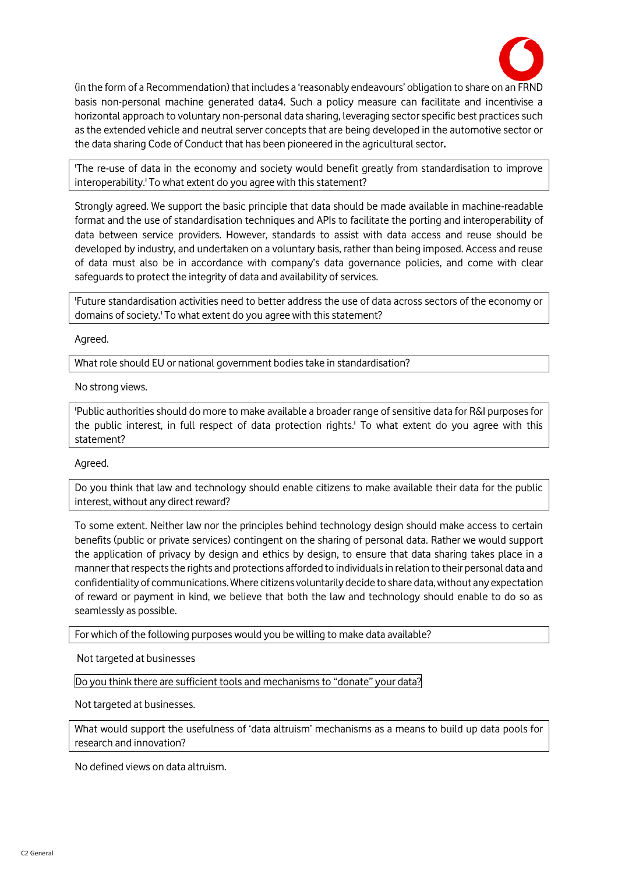

(in the form of a Recommendation) that includes a 'reasonably endeavours' obligation to share on an FRND basis non-personal machine generated data4. Such a policy measure can facilitate and incentivise a horizontal approach to voluntary non-personal data sharing, leveraging sector specific best practices such as the extended vehicle and neutral server concepts that are being developed in the automotive sector or the data sharing Code of Conduct that has been pioneered in the agricultural sector**.** 

'The re-use of data in the economy and society would benefit greatly from standardisation to improve interoperability.' To what extent do you agree with this statement?

Strongly agreed. We support the basic principle that data should be made available in machine-readable format and the use of standardisation techniques and APIs to facilitate the porting and interoperability of data between service providers. However, standards to assist with data access and reuse should be developed by industry, and undertaken on a voluntary basis, rather than being imposed. Access and reuse of data must also be in accordance with company's data governance policies, and come with clear safeguards to protect the integrity of data and availability of services.

'Future standardisation activities need to better address the use of data across sectors of the economy or domains of society.' To what extent do you agree with this statement?

Agreed.

What role should EU or national government bodies take in standardisation?

No strong views.

'Public authorities should do more to make available a broader range of sensitive data for R&I purposes for the public interest, in full respect of data protection rights.' To what extent do you agree with this statement?

### Agreed.

Do you think that law and technology should enable citizens to make available their data for the public interest, without any direct reward?

To some extent. Neither law nor the principles behind technology design should make access to certain benefits (public or private services) contingent on the sharing of personal data. Rather we would support the application of privacy by design and ethics by design, to ensure that data sharing takes place in a manner that respects the rights and protections afforded to individuals in relation to their personal data and confidentiality of communications. Where citizens voluntarily decide to share data, without any expectation of reward or payment in kind, we believe that both the law and technology should enable to do so as seamlessly as possible.

For which of the following purposes would you be willing to make data available?

Not targeted at businesses

Do you think there are sufficient tools and mechanismsto "donate" your data?

Not targeted at businesses.

What would support the usefulness of 'data altruism' mechanisms as a means to build up data pools for research and innovation?

No defined views on data altruism.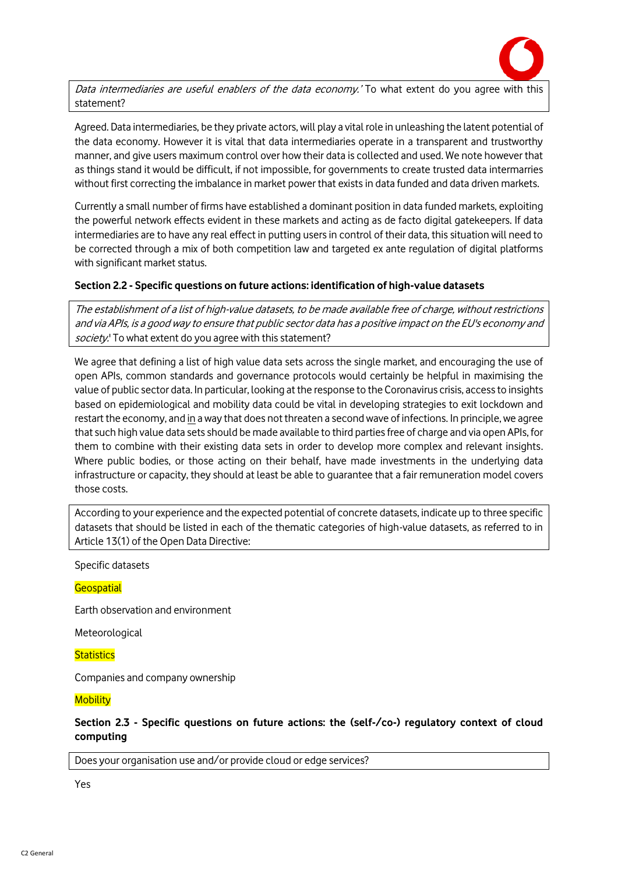

Data intermediaries are useful enablers of the data economy.' To what extent do you agree with this statement?

Agreed. Data intermediaries, be they private actors, will play a vital role in unleashing the latent potential of the data economy. However it is vital that data intermediaries operate in a transparent and trustworthy manner, and give users maximum control over how their data is collected and used. We note however that as things stand it would be difficult, if not impossible, for governments to create trusted data intermarries without first correcting the imbalance in market power that exists in data funded and data driven markets.

Currently a small number of firms have established a dominant position in data funded markets, exploiting the powerful network effects evident in these markets and acting as de facto digital gatekeepers. If data intermediaries are to have any real effect in putting users in control of their data, this situation will need to be corrected through a mix of both competition law and targeted ex ante regulation of digital platforms with significant market status.

#### **Section 2.2 - Specific questions on future actions: identification of high-value datasets**

The establishment of a list of high-value datasets, to be made available free of charge, without restrictions and via APIs, is a good way to ensure that public sector data has a positive impact on the EU's economy and society.' To what extent do you agree with this statement?

We agree that defining a list of high value data sets across the single market, and encouraging the use of open APIs, common standards and governance protocols would certainly be helpful in maximising the value of public sector data. In particular, looking at the response to the Coronavirus crisis, access to insights based on epidemiological and mobility data could be vital in developing strategies to exit lockdown and restart the economy, and in a way that does not threaten a second wave of infections. In principle, we agree that such high value data sets should be made available to third parties free of charge and via open APIs, for them to combine with their existing data sets in order to develop more complex and relevant insights. Where public bodies, or those acting on their behalf, have made investments in the underlying data infrastructure or capacity, they should at least be able to guarantee that a fair remuneration model covers those costs.

According to your experience and the expected potential of concrete datasets, indicate up to three specific datasets that should be listed in each of the thematic categories of high-value datasets, as referred to in Article 13(1) of the Open Data Directive:

Specific datasets

**Geospatial** 

Earth observation and environment

Meteorological

**Statistics** 

Companies and company ownership

**Mobility** 

**Section 2.3 - Specific questions on future actions: the (self-/co-) regulatory context of cloud computing**

Does your organisation use and/or provide cloud or edge services?

Yes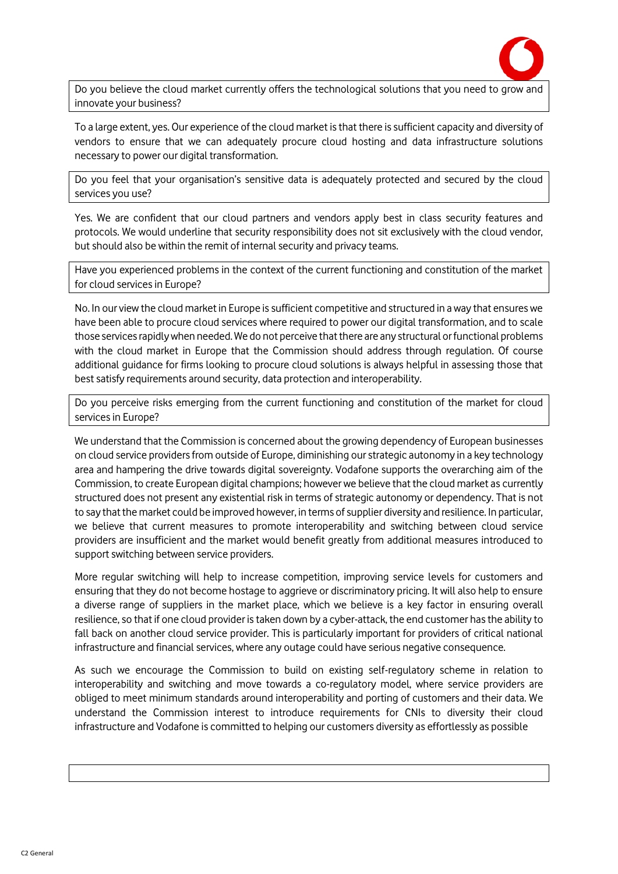

Do you believe the cloud market currently offers the technological solutions that you need to grow and innovate your business?

To a large extent, yes. Our experience of the cloud market is that there is sufficient capacity and diversity of vendors to ensure that we can adequately procure cloud hosting and data infrastructure solutions necessary to power our digital transformation.

Do you feel that your organisation's sensitive data is adequately protected and secured by the cloud services you use?

Yes. We are confident that our cloud partners and vendors apply best in class security features and protocols. We would underline that security responsibility does not sit exclusively with the cloud vendor, but should also be within the remit of internal security and privacy teams.

Have you experienced problems in the context of the current functioning and constitution of the market for cloud services in Europe?

No. In our view the cloud market in Europe is sufficient competitive and structured in a way that ensures we have been able to procure cloud services where required to power our digital transformation, and to scale those services rapidly when needed. We do not perceive that there are any structural or functional problems with the cloud market in Europe that the Commission should address through regulation. Of course additional guidance for firms looking to procure cloud solutions is always helpful in assessing those that best satisfy requirements around security, data protection and interoperability.

Do you perceive risks emerging from the current functioning and constitution of the market for cloud services in Europe?

We understand that the Commission is concerned about the growing dependency of European businesses on cloud service providers from outside of Europe, diminishing our strategic autonomy in a key technology area and hampering the drive towards digital sovereignty. Vodafone supports the overarching aim of the Commission, to create European digital champions; however we believe that the cloud market as currently structured does not present any existential risk in terms of strategic autonomy or dependency. That is not to say that the market could be improved however, in terms of supplier diversity and resilience. In particular, we believe that current measures to promote interoperability and switching between cloud service providers are insufficient and the market would benefit greatly from additional measures introduced to support switching between service providers.

More regular switching will help to increase competition, improving service levels for customers and ensuring that they do not become hostage to aggrieve or discriminatory pricing. It will also help to ensure a diverse range of suppliers in the market place, which we believe is a key factor in ensuring overall resilience, so that if one cloud provider is taken down by a cyber-attack, the end customer has the ability to fall back on another cloud service provider. This is particularly important for providers of critical national infrastructure and financial services, where any outage could have serious negative consequence.

As such we encourage the Commission to build on existing self-regulatory scheme in relation to interoperability and switching and move towards a co-regulatory model, where service providers are obliged to meet minimum standards around interoperability and porting of customers and their data. We understand the Commission interest to introduce requirements for CNIs to diversity their cloud infrastructure and Vodafone is committed to helping our customers diversity as effortlessly as possible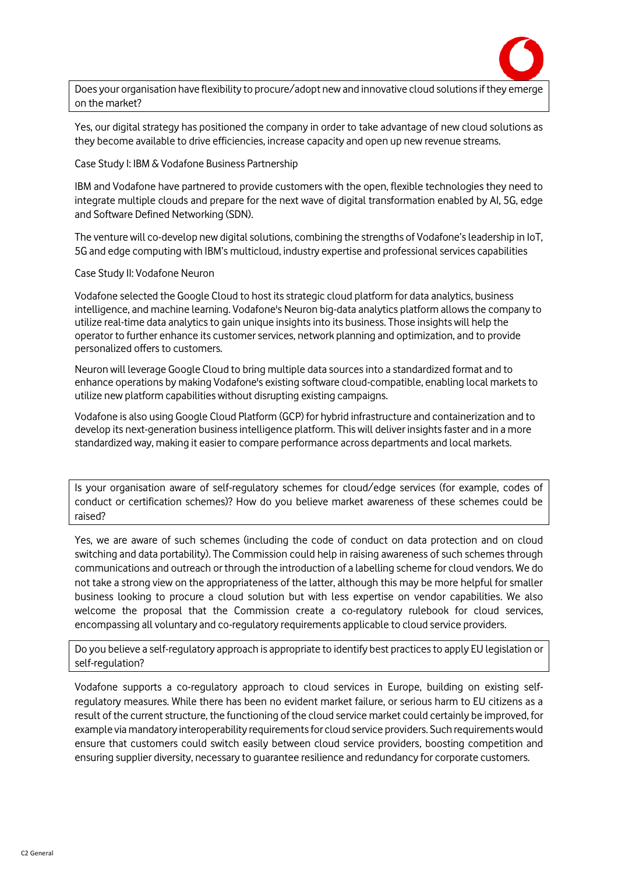

Does your organisation have flexibility to procure/adopt new and innovative cloud solutions if they emerge on the market?

Yes, our digital strategy has positioned the company in order to take advantage of new cloud solutions as they become available to drive efficiencies, increase capacity and open up new revenue streams.

Case Study I: IBM & Vodafone Business Partnership

IBM and Vodafone have partnered to provide customers with the open, flexible technologies they need to integrate multiple clouds and prepare for the next wave of digital transformation enabled by AI, 5G, edge and Software Defined Networking (SDN).

The venture will co-develop new digital solutions, combining the strengths of Vodafone's leadership in IoT, 5G and edge computing with IBM's multicloud, industry expertise and professional services capabilities

#### Case Study II: Vodafone Neuron

Vodafone selected the Google Cloud to host its strategic cloud platform for data analytics, business intelligence, and machine learning. Vodafone's Neuron big-data analytics platform allows the company to utilize real-time data analytics to gain unique insights into its business. Those insights will help the operator to further enhance its customer services, network planning and optimization, and to provide personalized offers to customers.

Neuron will leverage Google Cloud to bring multiple data sources into a standardized format and to enhance operations by making Vodafone's existing software cloud-compatible, enabling local markets to utilize new platform capabilities without disrupting existing campaigns.

Vodafone is also using Google Cloud Platform (GCP) for hybrid infrastructure and containerization and to develop its next-generation business intelligence platform. This will deliver insights faster and in a more standardized way, making it easier to compare performance across departments and local markets.

Is your organisation aware of self-regulatory schemes for cloud/edge services (for example, codes of conduct or certification schemes)? How do you believe market awareness of these schemes could be raised?

Yes, we are aware of such schemes (including the code of conduct on data protection and on cloud switching and data portability). The Commission could help in raising awareness of such schemes through communications and outreach or through the introduction of a labelling scheme for cloud vendors. We do not take a strong view on the appropriateness of the latter, although this may be more helpful for smaller business looking to procure a cloud solution but with less expertise on vendor capabilities. We also welcome the proposal that the Commission create a co-regulatory rulebook for cloud services, encompassing all voluntary and co-regulatory requirements applicable to cloud service providers.

Do you believe a self-regulatory approach is appropriate to identify best practices to apply EU legislation or self-regulation?

Vodafone supports a co-regulatory approach to cloud services in Europe, building on existing selfregulatory measures. While there has been no evident market failure, or serious harm to EU citizens as a result of the current structure, the functioning of the cloud service market could certainly be improved, for example via mandatory interoperability requirements for cloud service providers. Such requirements would ensure that customers could switch easily between cloud service providers, boosting competition and ensuring supplier diversity, necessary to guarantee resilience and redundancy for corporate customers.